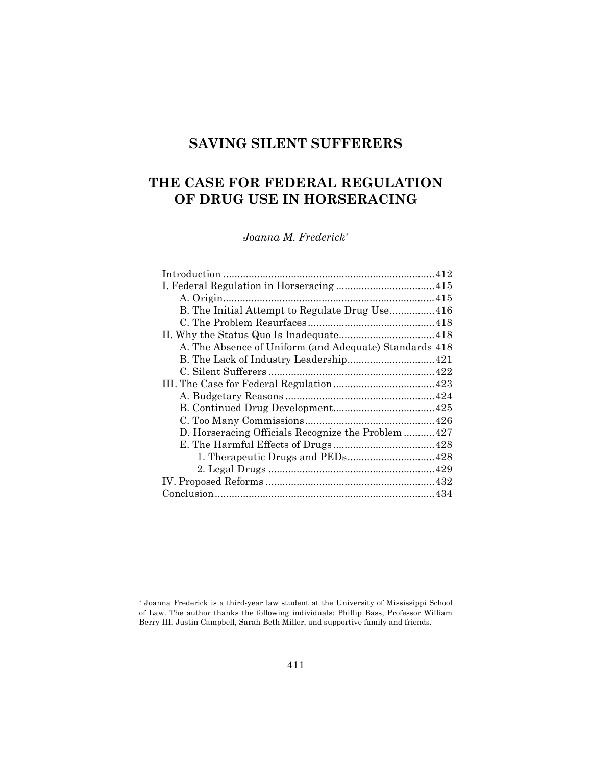# **SAVING SILENT SUFFERERS**

# **THE CASE FOR FEDERAL REGULATION OF DRUG USE IN HORSERACING**

*Joanna M. Frederick\**

| A. The Absence of Uniform (and Adequate) Standards 418 |  |
|--------------------------------------------------------|--|
|                                                        |  |
|                                                        |  |
|                                                        |  |
|                                                        |  |
|                                                        |  |
|                                                        |  |
| D. Horseracing Officials Recognize the Problem 427     |  |
|                                                        |  |
|                                                        |  |
|                                                        |  |
|                                                        |  |
|                                                        |  |
|                                                        |  |

<sup>\*</sup> Joanna Frederick is a third-year law student at the University of Mississippi School of Law. The author thanks the following individuals: Phillip Bass, Professor William Berry III, Justin Campbell, Sarah Beth Miller, and supportive family and friends.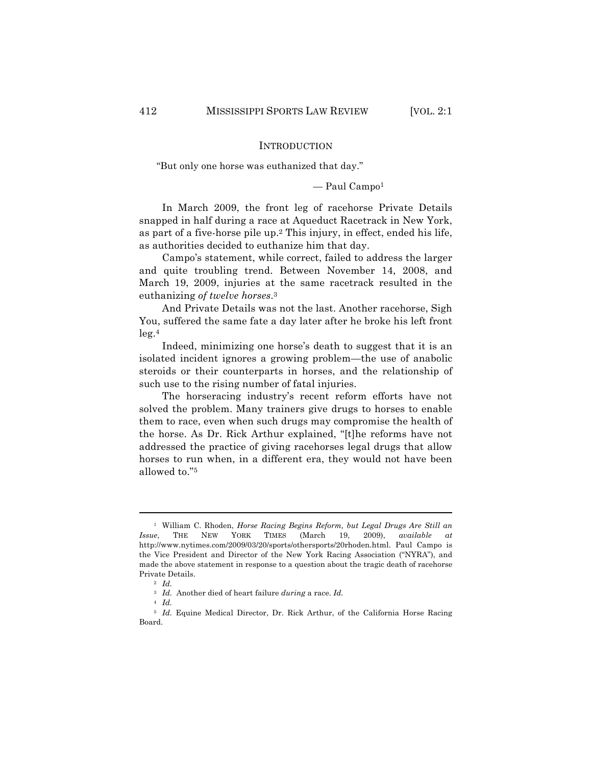## INTRODUCTION

"But only one horse was euthanized that day."

 $-$  Paul Campo<sup>1</sup>

In March 2009, the front leg of racehorse Private Details snapped in half during a race at Aqueduct Racetrack in New York, as part of a five-horse pile up.2 This injury, in effect, ended his life, as authorities decided to euthanize him that day.

Campo's statement, while correct, failed to address the larger and quite troubling trend. Between November 14, 2008, and March 19, 2009, injuries at the same racetrack resulted in the euthanizing *of twelve horses*.3

And Private Details was not the last. Another racehorse, Sigh You, suffered the same fate a day later after he broke his left front  $leg.<sup>4</sup>$ 

Indeed, minimizing one horse's death to suggest that it is an isolated incident ignores a growing problem—the use of anabolic steroids or their counterparts in horses, and the relationship of such use to the rising number of fatal injuries.

The horseracing industry's recent reform efforts have not solved the problem. Many trainers give drugs to horses to enable them to race, even when such drugs may compromise the health of the horse. As Dr. Rick Arthur explained, "[t]he reforms have not addressed the practice of giving racehorses legal drugs that allow horses to run when, in a different era, they would not have been allowed to."5

<sup>1</sup> William C. Rhoden, *Horse Racing Begins Reform, but Legal Drugs Are Still an Issue*, THE NEW YORK TIMES (March 19, 2009), *available at*  http://www.nytimes.com/2009/03/20/sports/othersports/20rhoden.html. Paul Campo is the Vice President and Director of the New York Racing Association ("NYRA"), and made the above statement in response to a question about the tragic death of racehorse Private Details.

<sup>3</sup> *Id.* Another died of heart failure *during* a race. *Id.*

<sup>2</sup> *Id.* <sup>4</sup> *Id.*

<sup>&</sup>lt;sup>5</sup> *Id.* Equine Medical Director, Dr. Rick Arthur, of the California Horse Racing Board.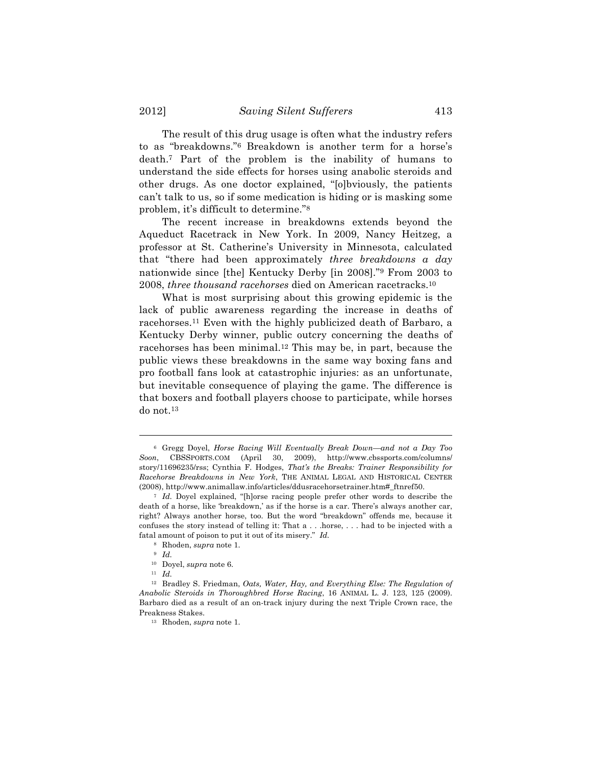The result of this drug usage is often what the industry refers to as "breakdowns."6 Breakdown is another term for a horse's death.7 Part of the problem is the inability of humans to understand the side effects for horses using anabolic steroids and other drugs. As one doctor explained, "[o]bviously, the patients can't talk to us, so if some medication is hiding or is masking some problem, it's difficult to determine."8

The recent increase in breakdowns extends beyond the Aqueduct Racetrack in New York. In 2009, Nancy Heitzeg, a professor at St. Catherine's University in Minnesota, calculated that "there had been approximately *three breakdowns a day* nationwide since [the] Kentucky Derby [in 2008]."9 From 2003 to 2008, *three thousand racehorses* died on American racetracks.10

What is most surprising about this growing epidemic is the lack of public awareness regarding the increase in deaths of racehorses.11 Even with the highly publicized death of Barbaro, a Kentucky Derby winner, public outcry concerning the deaths of racehorses has been minimal.12 This may be, in part, because the public views these breakdowns in the same way boxing fans and pro football fans look at catastrophic injuries: as an unfortunate, but inevitable consequence of playing the game. The difference is that boxers and football players choose to participate, while horses do not.13

<sup>6</sup> Gregg Doyel, *Horse Racing Will Eventually Break Down—and not a Day Too Soon*, CBSSPORTS.COM (April 30, 2009), http://www.cbssports.com/columns/ story/11696235/rss; Cynthia F. Hodges, *That's the Breaks: Trainer Responsibility for Racehorse Breakdowns in New York*, THE ANIMAL LEGAL AND HISTORICAL CENTER (2008), http://www.animallaw.info/articles/ddusracehorsetrainer.htm#\_ftnref50.

<sup>7</sup> *Id.* Doyel explained, "[h]orse racing people prefer other words to describe the death of a horse, like 'breakdown,' as if the horse is a car. There's always another car, right? Always another horse, too. But the word "breakdown" offends me, because it confuses the story instead of telling it: That a . . .horse, . . . had to be injected with a fatal amount of poison to put it out of its misery." *Id.*

<sup>8</sup> Rhoden, *supra* note 1.

<sup>9</sup> *Id.*

<sup>10</sup> Doyel, *supra* note 6.

<sup>11</sup> *Id.*

<sup>12</sup> Bradley S. Friedman, *Oats, Water, Hay, and Everything Else: The Regulation of Anabolic Steroids in Thoroughbred Horse Racing*, 16 ANIMAL L. J. 123, 125 (2009). Barbaro died as a result of an on-track injury during the next Triple Crown race, the Preakness Stakes.

<sup>13</sup> Rhoden, *supra* note 1.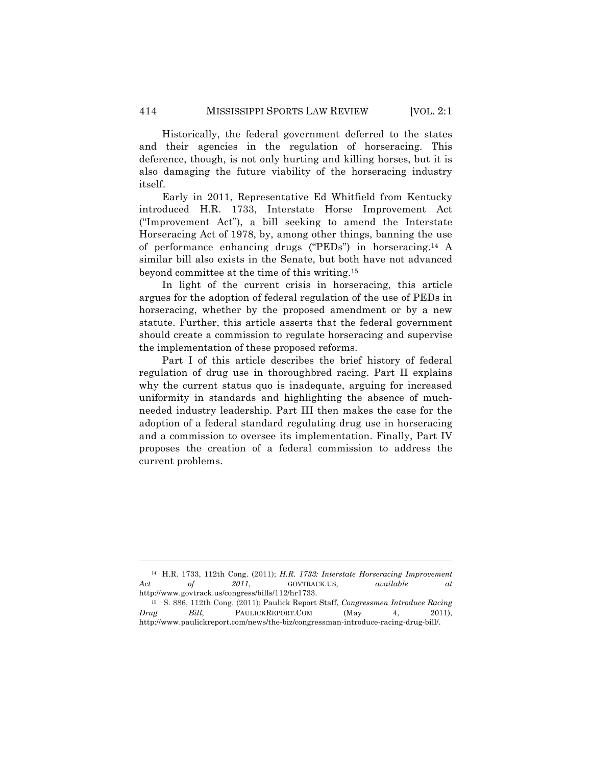Historically, the federal government deferred to the states and their agencies in the regulation of horseracing. This deference, though, is not only hurting and killing horses, but it is also damaging the future viability of the horseracing industry itself.

Early in 2011, Representative Ed Whitfield from Kentucky introduced H.R. 1733, Interstate Horse Improvement Act ("Improvement Act"), a bill seeking to amend the Interstate Horseracing Act of 1978, by, among other things, banning the use of performance enhancing drugs ("PEDs") in horseracing.14 A similar bill also exists in the Senate, but both have not advanced beyond committee at the time of this writing.15

In light of the current crisis in horseracing, this article argues for the adoption of federal regulation of the use of PEDs in horseracing, whether by the proposed amendment or by a new statute. Further, this article asserts that the federal government should create a commission to regulate horseracing and supervise the implementation of these proposed reforms.

Part I of this article describes the brief history of federal regulation of drug use in thoroughbred racing. Part II explains why the current status quo is inadequate, arguing for increased uniformity in standards and highlighting the absence of muchneeded industry leadership. Part III then makes the case for the adoption of a federal standard regulating drug use in horseracing and a commission to oversee its implementation. Finally, Part IV proposes the creation of a federal commission to address the current problems.

<sup>14</sup> H.R. 1733, 112th Cong. (2011); *H.R. 1733: Interstate Horseracing Improvement Act of 2011*, GOVTRACK.US, *available at* http://www.govtrack.us/congress/bills/112/hr1733.

<sup>15</sup> S. 886, 112th Cong. (2011); Paulick Report Staff, *Congressmen Introduce Racing Drug Bill*, PAULICKREPORT.COM (May 4, 2011), http://www.paulickreport.com/news/the-biz/congressman-introduce-racing-drug-bill/.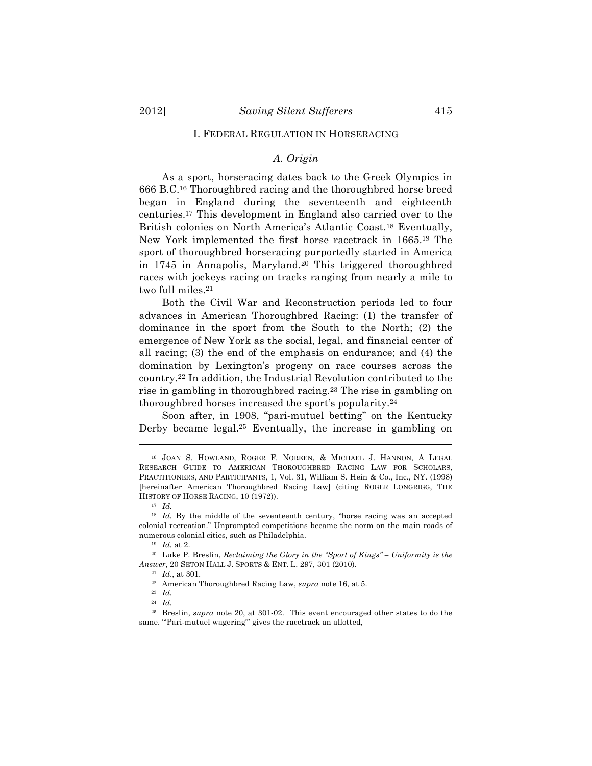#### I. FEDERAL REGULATION IN HORSERACING

## *A. Origin*

As a sport, horseracing dates back to the Greek Olympics in 666 B.C.16 Thoroughbred racing and the thoroughbred horse breed began in England during the seventeenth and eighteenth centuries.17 This development in England also carried over to the British colonies on North America's Atlantic Coast.18 Eventually, New York implemented the first horse racetrack in 1665.19 The sport of thoroughbred horseracing purportedly started in America in 1745 in Annapolis, Maryland.<sup>20</sup> This triggered thoroughbred races with jockeys racing on tracks ranging from nearly a mile to two full miles.21

Both the Civil War and Reconstruction periods led to four advances in American Thoroughbred Racing: (1) the transfer of dominance in the sport from the South to the North; (2) the emergence of New York as the social, legal, and financial center of all racing; (3) the end of the emphasis on endurance; and (4) the domination by Lexington's progeny on race courses across the country.22 In addition, the Industrial Revolution contributed to the rise in gambling in thoroughbred racing.23 The rise in gambling on thoroughbred horses increased the sport's popularity.24

Soon after, in 1908, "pari-mutuel betting" on the Kentucky Derby became legal.<sup>25</sup> Eventually, the increase in gambling on

<sup>16</sup> JOAN S. HOWLAND, ROGER F. NOREEN, & MICHAEL J. HANNON, A LEGAL RESEARCH GUIDE TO AMERICAN THOROUGHBRED RACING LAW FOR SCHOLARS, PRACTITIONERS, AND PARTICIPANTS, 1, Vol. 31, William S. Hein & Co., Inc., NY. (1998) [hereinafter American Thoroughbred Racing Law] (citing ROGER LONGRIGG, THE HISTORY OF HORSE RACING, 10 (1972)).

<sup>17</sup> *Id.*

<sup>&</sup>lt;sup>18</sup> *Id.* By the middle of the seventeenth century, "horse racing was an accepted colonial recreation." Unprompted competitions became the norm on the main roads of numerous colonial cities, such as Philadelphia.

<sup>19</sup> *Id.* at 2.

<sup>20</sup> Luke P. Breslin, *Reclaiming the Glory in the "Sport of Kings" – Uniformity is the Answer*, 20 SETON HALL J. SPORTS & ENT. L. 297, 301 (2010).

<sup>21</sup> *Id*., at 301*.*

<sup>22</sup> American Thoroughbred Racing Law, *supra* note 16, at 5.

<sup>23</sup> *Id.*

<sup>24</sup> *Id.*

<sup>25</sup> Breslin, *supra* note 20, at 301-02. This event encouraged other states to do the same. "'Pari-mutuel wagering"' gives the racetrack an allotted,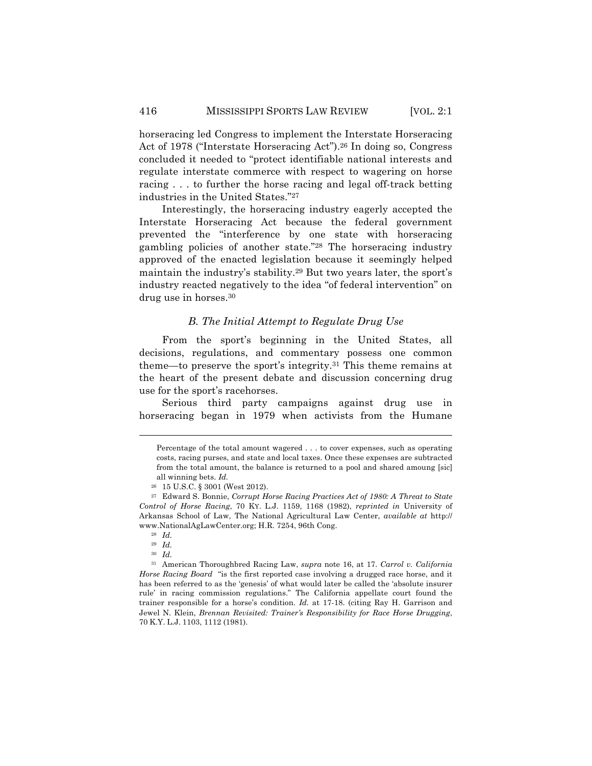horseracing led Congress to implement the Interstate Horseracing Act of 1978 ("Interstate Horseracing Act").<sup>26</sup> In doing so, Congress concluded it needed to "protect identifiable national interests and regulate interstate commerce with respect to wagering on horse racing . . . to further the horse racing and legal off-track betting industries in the United States."27

Interestingly, the horseracing industry eagerly accepted the Interstate Horseracing Act because the federal government prevented the "interference by one state with horseracing gambling policies of another state."28 The horseracing industry approved of the enacted legislation because it seemingly helped maintain the industry's stability.29 But two years later, the sport's industry reacted negatively to the idea "of federal intervention" on drug use in horses.30

## *B. The Initial Attempt to Regulate Drug Use*

From the sport's beginning in the United States, all decisions, regulations, and commentary possess one common theme—to preserve the sport's integrity.31 This theme remains at the heart of the present debate and discussion concerning drug use for the sport's racehorses.

Serious third party campaigns against drug use in horseracing began in 1979 when activists from the Humane

!!!!!!!!!!!!!!!!!!!!!!!!!!!!!!!!!!!!!!!!!!!!!!!!!!!!!!!!!!!!!!!!!!!!!!!!!!!!!!!!!!!!!!!!!!!!!!!!!!!!!!!!!!!!!!!!!!!!!!!!!!!!!!!!!!!!!!!

<sup>29</sup> *Id.*

<sup>30</sup> *Id.*

<sup>31</sup> American Thoroughbred Racing Law, *supra* note 16, at 17. *Carrol v. California Horse Racing Board* "is the first reported case involving a drugged race horse, and it has been referred to as the 'genesis' of what would later be called the 'absolute insurer rule' in racing commission regulations." The California appellate court found the trainer responsible for a horse's condition. *Id.* at 17-18. (citing Ray H. Garrison and Jewel N. Klein, *Brennan Revisited: Trainer's Responsibility for Race Horse Drugging*, 70 K.Y. L.J. 1103, 1112 (1981).

Percentage of the total amount wagered . . . to cover expenses, such as operating costs, racing purses, and state and local taxes. Once these expenses are subtracted from the total amount, the balance is returned to a pool and shared amoung [sic] all winning bets. *Id.*

<sup>26</sup> 15 U.S.C. § 3001 (West 2012).

<sup>27</sup> Edward S. Bonnie, *Corrupt Horse Racing Practices Act of 1980: A Threat to State Control of Horse Racing*, 70 KY. L.J. 1159, 1168 (1982), *reprinted in* University of Arkansas School of Law, The National Agricultural Law Center, *available at* http:// www.NationalAgLawCenter.org; H.R. 7254, 96th Cong.

<sup>28</sup> *Id.*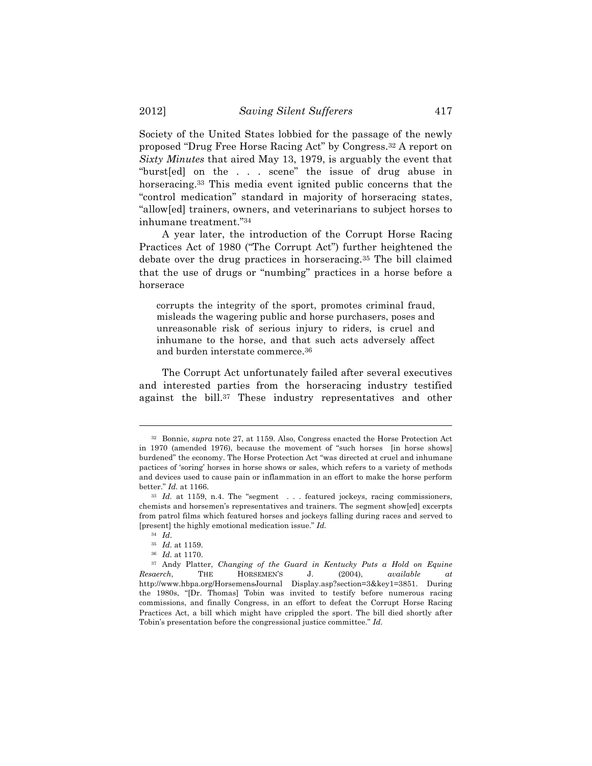Society of the United States lobbied for the passage of the newly proposed "Drug Free Horse Racing Act" by Congress.32 A report on *Sixty Minutes* that aired May 13, 1979, is arguably the event that "burst[ed] on the . . . scene" the issue of drug abuse in horseracing.<sup>33</sup> This media event ignited public concerns that the "control medication" standard in majority of horseracing states, "allow[ed] trainers, owners, and veterinarians to subject horses to inhumane treatment."34

A year later, the introduction of the Corrupt Horse Racing Practices Act of 1980 ("The Corrupt Act") further heightened the debate over the drug practices in horseracing.35 The bill claimed that the use of drugs or "numbing" practices in a horse before a horserace

corrupts the integrity of the sport, promotes criminal fraud, misleads the wagering public and horse purchasers, poses and unreasonable risk of serious injury to riders, is cruel and inhumane to the horse, and that such acts adversely affect and burden interstate commerce.36

The Corrupt Act unfortunately failed after several executives and interested parties from the horseracing industry testified against the bill.37 These industry representatives and other

<sup>32</sup> Bonnie, *supra* note 27, at 1159. Also, Congress enacted the Horse Protection Act in 1970 (amended 1976), because the movement of "such horses [in horse shows] burdened" the economy. The Horse Protection Act "was directed at cruel and inhumane pactices of 'soring' horses in horse shows or sales, which refers to a variety of methods and devices used to cause pain or inflammation in an effort to make the horse perform better." *Id.* at 1166.

<sup>&</sup>lt;sup>33</sup> *Id.* at 1159, n.4. The "segment . . . featured jockeys, racing commissioners, chemists and horsemen's representatives and trainers. The segment show[ed] excerpts from patrol films which featured horses and jockeys falling during races and served to [present] the highly emotional medication issue." *Id.*

<sup>34</sup> *Id*.

<sup>35</sup> *Id.* at 1159.

<sup>36</sup> *Id.* at 1170.

<sup>37</sup> Andy Platter, *Changing of the Guard in Kentucky Puts a Hold on Equine Resaerch*, THE HORSEMEN'S J. (2004), *available at* http://www.hbpa.org/HorsemensJournal Display.asp?section=3&key1=3851. During the 1980s, "[Dr. Thomas] Tobin was invited to testify before numerous racing commissions, and finally Congress, in an effort to defeat the Corrupt Horse Racing Practices Act, a bill which might have crippled the sport. The bill died shortly after Tobin's presentation before the congressional justice committee." *Id.*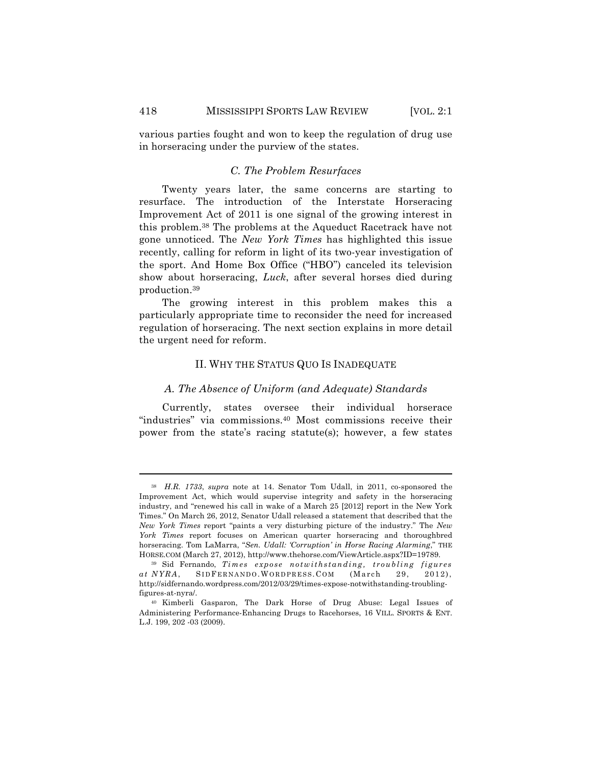various parties fought and won to keep the regulation of drug use in horseracing under the purview of the states.

## *C. The Problem Resurfaces*

Twenty years later, the same concerns are starting to resurface. The introduction of the Interstate Horseracing Improvement Act of 2011 is one signal of the growing interest in this problem.38 The problems at the Aqueduct Racetrack have not gone unnoticed. The *New York Times* has highlighted this issue recently, calling for reform in light of its two-year investigation of the sport. And Home Box Office ("HBO") canceled its television show about horseracing, *Luck*, after several horses died during production.39

The growing interest in this problem makes this a particularly appropriate time to reconsider the need for increased regulation of horseracing. The next section explains in more detail the urgent need for reform.

## II. WHY THE STATUS QUO IS INADEQUATE

### *A. The Absence of Uniform (and Adequate) Standards*

Currently, states oversee their individual horserace "industries" via commissions.40 Most commissions receive their power from the state's racing statute(s); however, a few states

<sup>38</sup> *H.R. 1733*, *supra* note at 14. Senator Tom Udall, in 2011, co-sponsored the Improvement Act, which would supervise integrity and safety in the horseracing industry, and "renewed his call in wake of a March 25 [2012] report in the New York Times." On March 26, 2012, Senator Udall released a statement that described that the *New York Times* report "paints a very disturbing picture of the industry." The *New York Times* report focuses on American quarter horseracing and thoroughbred horseracing. Tom LaMarra, "*Sen. Udall: 'Corruption' in Horse Racing Alarming*," THE HORSE.COM (March 27, 2012), http://www.thehorse.com/ViewArticle.aspx?ID=19789.

<sup>39</sup> Sid Fernando, *Times expose notwithstanding, troubling figures*  at  $NYRA$ , SIDFERNANDO.WORDPRESS.COM (March 29, 2012), http://sidfernando.wordpress.com/2012/03/29/times-expose-notwithstanding-troublingfigures-at-nyra/.

<sup>40</sup> Kimberli Gasparon, The Dark Horse of Drug Abuse: Legal Issues of Administering Performance-Enhancing Drugs to Racehorses, 16 VILL. SPORTS & ENT. L.J. 199, 202 -03 (2009).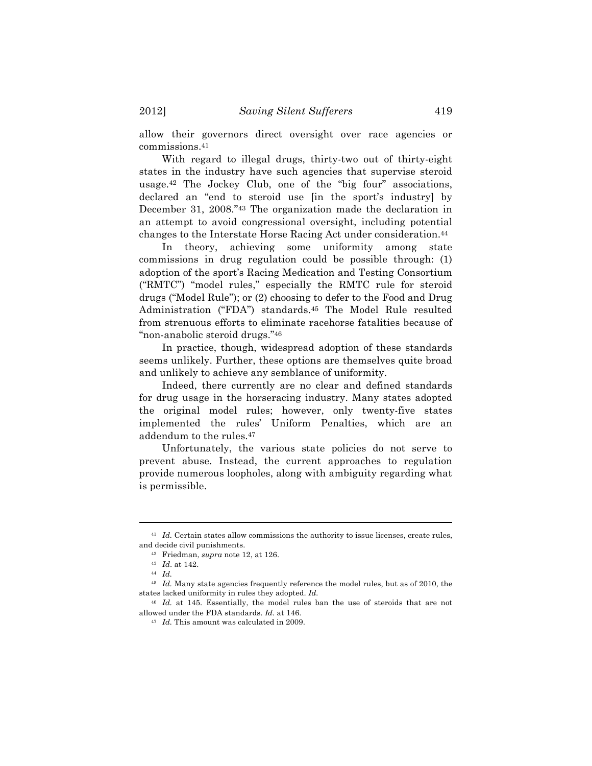allow their governors direct oversight over race agencies or commissions.41

With regard to illegal drugs, thirty-two out of thirty-eight states in the industry have such agencies that supervise steroid usage.42 The Jockey Club, one of the "big four" associations, declared an "end to steroid use [in the sport's industry] by December 31, 2008."43 The organization made the declaration in an attempt to avoid congressional oversight, including potential changes to the Interstate Horse Racing Act under consideration.44

In theory, achieving some uniformity among state commissions in drug regulation could be possible through: (1) adoption of the sport's Racing Medication and Testing Consortium ("RMTC") "model rules," especially the RMTC rule for steroid drugs ("Model Rule"); or (2) choosing to defer to the Food and Drug Administration ("FDA") standards.45 The Model Rule resulted from strenuous efforts to eliminate racehorse fatalities because of "non-anabolic steroid drugs."46

In practice, though, widespread adoption of these standards seems unlikely. Further, these options are themselves quite broad and unlikely to achieve any semblance of uniformity.

Indeed, there currently are no clear and defined standards for drug usage in the horseracing industry. Many states adopted the original model rules; however, only twenty-five states implemented the rules' Uniform Penalties, which are an addendum to the rules.47

Unfortunately, the various state policies do not serve to prevent abuse. Instead, the current approaches to regulation provide numerous loopholes, along with ambiguity regarding what is permissible.

<sup>!!!!!!!!!!!!!!!!!!!!!!!!!!!!!!!!!!!!!!!!!!!!!!!!!!!!!!!!!!!!!!!!!!!!!!!!!!!!!!!!!!!!!!!!!!!!!!!!!!!!!!!!!!!!!!!!!!!!!!!!!!!!!!!!!!!!!!!</sup> <sup>41</sup> *Id.* Certain states allow commissions the authority to issue licenses, create rules, and decide civil punishments.

<sup>42</sup> Friedman, *supra* note 12, at 126.

<sup>43</sup> *Id*. at 142.

<sup>44</sup> *Id.*

<sup>45</sup> *Id.* Many state agencies frequently reference the model rules, but as of 2010, the states lacked uniformity in rules they adopted. *Id.*

<sup>46</sup> *Id.* at 145. Essentially, the model rules ban the use of steroids that are not allowed under the FDA standards. *Id.* at 146.

<sup>47</sup> *Id.* This amount was calculated in 2009.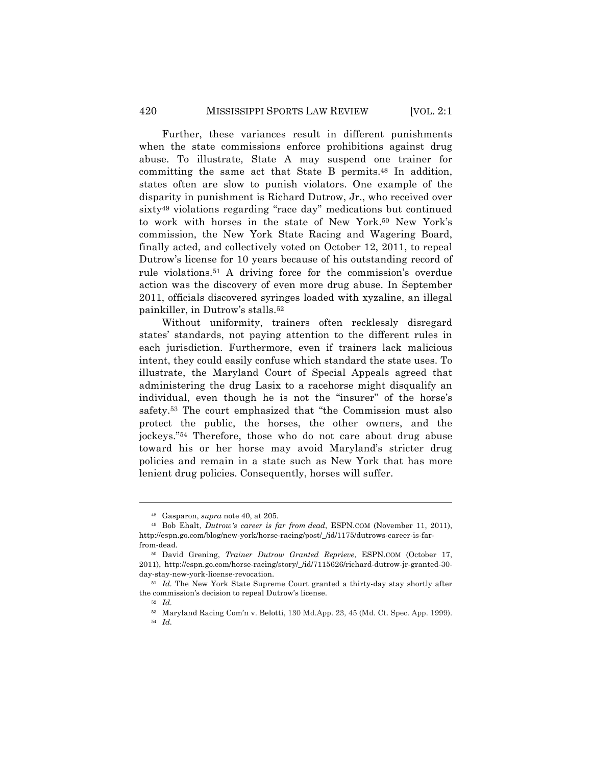Further, these variances result in different punishments when the state commissions enforce prohibitions against drug abuse. To illustrate, State A may suspend one trainer for committing the same act that State B permits.48 In addition, states often are slow to punish violators. One example of the disparity in punishment is Richard Dutrow, Jr., who received over sixty49 violations regarding "race day" medications but continued to work with horses in the state of New York.50 New York's commission, the New York State Racing and Wagering Board, finally acted, and collectively voted on October 12, 2011, to repeal Dutrow's license for 10 years because of his outstanding record of rule violations.51 A driving force for the commission's overdue action was the discovery of even more drug abuse. In September 2011, officials discovered syringes loaded with xyzaline, an illegal painkiller, in Dutrow's stalls.52

Without uniformity, trainers often recklessly disregard states' standards, not paying attention to the different rules in each jurisdiction. Furthermore, even if trainers lack malicious intent, they could easily confuse which standard the state uses. To illustrate, the Maryland Court of Special Appeals agreed that administering the drug Lasix to a racehorse might disqualify an individual, even though he is not the "insurer" of the horse's safety.53 The court emphasized that "the Commission must also protect the public, the horses, the other owners, and the jockeys."54 Therefore, those who do not care about drug abuse toward his or her horse may avoid Maryland's stricter drug policies and remain in a state such as New York that has more lenient drug policies. Consequently, horses will suffer.

<sup>48</sup> Gasparon, *supra* note 40, at 205.

<sup>49</sup> Bob Ehalt, *Dutrow's career is far from dead*, ESPN.COM (November 11, 2011), http://espn.go.com/blog/new-york/horse-racing/post/\_/id/1175/dutrows-career-is-farfrom-dead.

<sup>50</sup> David Grening, *Trainer Dutrow Granted Reprieve*, ESPN.COM (October 17, 2011), http://espn.go.com/horse-racing/story/\_/id/7115626/richard-dutrow-jr-granted-30 day-stay-new-york-license-revocation.

<sup>&</sup>lt;sup>51</sup> *Id.* The New York State Supreme Court granted a thirty-day stay shortly after the commission's decision to repeal Dutrow's license.

<sup>52</sup> *Id.*

<sup>53</sup> Maryland Racing Com'n v. Belotti, 130 Md.App. 23, 45 (Md. Ct. Spec. App. 1999). <sup>54</sup> *Id.*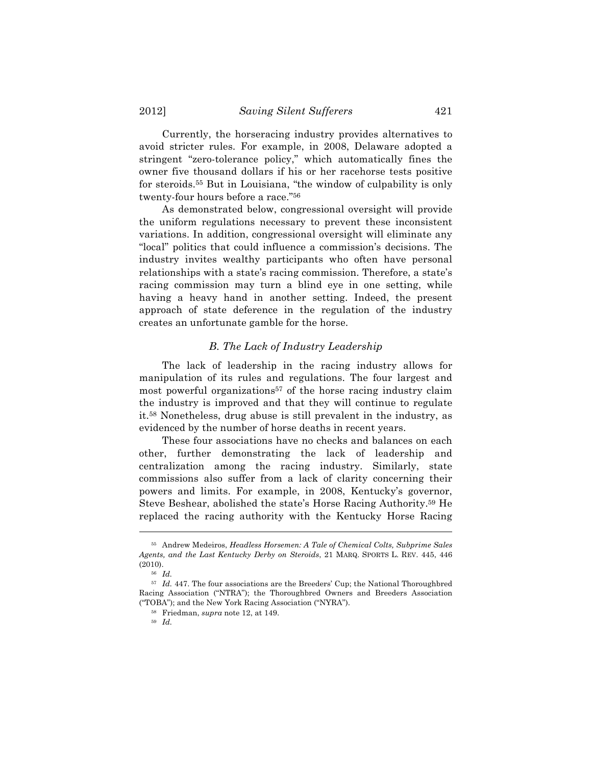Currently, the horseracing industry provides alternatives to avoid stricter rules. For example, in 2008, Delaware adopted a stringent "zero-tolerance policy," which automatically fines the owner five thousand dollars if his or her racehorse tests positive for steroids.55 But in Louisiana, "the window of culpability is only twenty-four hours before a race."56

As demonstrated below, congressional oversight will provide the uniform regulations necessary to prevent these inconsistent variations. In addition, congressional oversight will eliminate any "local" politics that could influence a commission's decisions. The industry invites wealthy participants who often have personal relationships with a state's racing commission. Therefore, a state's racing commission may turn a blind eye in one setting, while having a heavy hand in another setting. Indeed, the present approach of state deference in the regulation of the industry creates an unfortunate gamble for the horse.

## *B. The Lack of Industry Leadership*

The lack of leadership in the racing industry allows for manipulation of its rules and regulations. The four largest and most powerful organizations57 of the horse racing industry claim the industry is improved and that they will continue to regulate it.58 Nonetheless, drug abuse is still prevalent in the industry, as evidenced by the number of horse deaths in recent years.

These four associations have no checks and balances on each other, further demonstrating the lack of leadership and centralization among the racing industry. Similarly, state commissions also suffer from a lack of clarity concerning their powers and limits. For example, in 2008, Kentucky's governor, Steve Beshear, abolished the state's Horse Racing Authority.59 He replaced the racing authority with the Kentucky Horse Racing

<sup>55</sup> Andrew Medeiros, *Headless Horsemen: A Tale of Chemical Colts, Subprime Sales Agents, and the Last Kentucky Derby on Steroids*, 21 MARQ. SPORTS L. REV. 445, 446 (2010).

<sup>56</sup> *Id.*

<sup>57</sup> *Id.* 447. The four associations are the Breeders' Cup; the National Thoroughbred Racing Association ("NTRA"); the Thoroughbred Owners and Breeders Association ("TOBA"); and the New York Racing Association ("NYRA").

<sup>58</sup> Friedman, *supra* note 12, at 149.

<sup>59</sup> *Id.*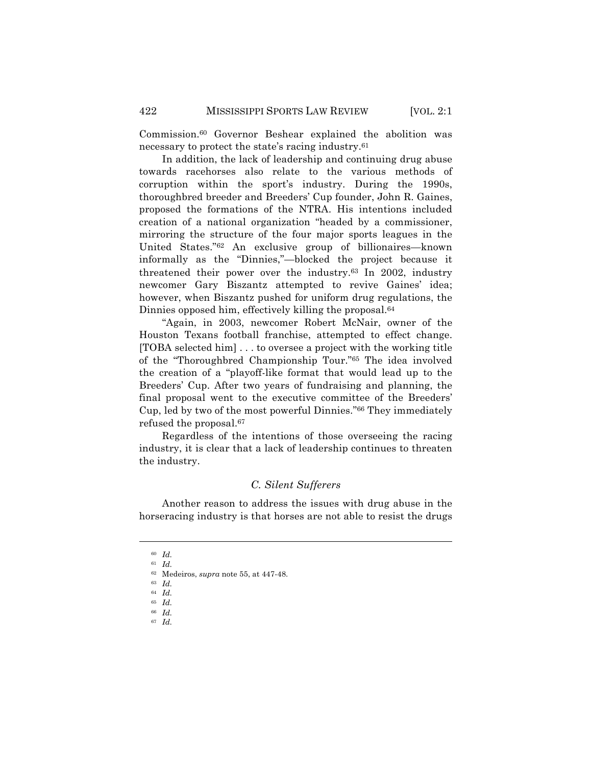Commission.60 Governor Beshear explained the abolition was necessary to protect the state's racing industry.61

In addition, the lack of leadership and continuing drug abuse towards racehorses also relate to the various methods of corruption within the sport's industry. During the 1990s, thoroughbred breeder and Breeders' Cup founder, John R. Gaines, proposed the formations of the NTRA. His intentions included creation of a national organization "headed by a commissioner, mirroring the structure of the four major sports leagues in the United States."62 An exclusive group of billionaires—known informally as the "Dinnies,"—blocked the project because it threatened their power over the industry.63 In 2002, industry newcomer Gary Biszantz attempted to revive Gaines' idea; however, when Biszantz pushed for uniform drug regulations, the Dinnies opposed him, effectively killing the proposal.64

"Again, in 2003, newcomer Robert McNair, owner of the Houston Texans football franchise, attempted to effect change. [TOBA selected him] . . . to oversee a project with the working title of the "Thoroughbred Championship Tour."65 The idea involved the creation of a "playoff-like format that would lead up to the Breeders' Cup. After two years of fundraising and planning, the final proposal went to the executive committee of the Breeders' Cup, led by two of the most powerful Dinnies."66 They immediately refused the proposal.67

Regardless of the intentions of those overseeing the racing industry, it is clear that a lack of leadership continues to threaten the industry.

## *C. Silent Sufferers*

Another reason to address the issues with drug abuse in the horseracing industry is that horses are not able to resist the drugs

<sup>60</sup> *Id.* <sup>61</sup> *Id.*

<sup>62</sup> Medeiros, *supra* note 55, at 447-48.

<sup>63</sup> *Id.*

<sup>64</sup> *Id.*

<sup>65</sup> *Id.*

<sup>66</sup> *Id.*

<sup>67</sup> *Id.*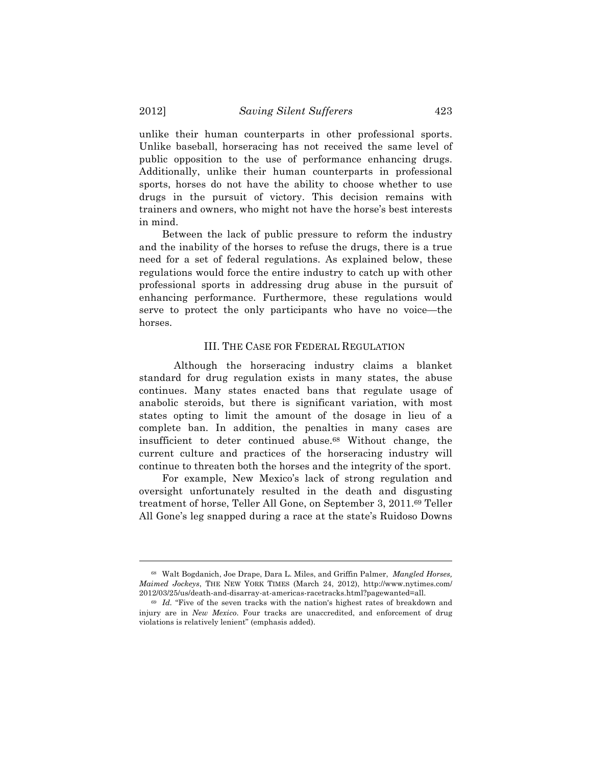unlike their human counterparts in other professional sports. Unlike baseball, horseracing has not received the same level of public opposition to the use of performance enhancing drugs. Additionally, unlike their human counterparts in professional sports, horses do not have the ability to choose whether to use drugs in the pursuit of victory. This decision remains with trainers and owners, who might not have the horse's best interests in mind.

Between the lack of public pressure to reform the industry and the inability of the horses to refuse the drugs, there is a true need for a set of federal regulations. As explained below, these regulations would force the entire industry to catch up with other professional sports in addressing drug abuse in the pursuit of enhancing performance. Furthermore, these regulations would serve to protect the only participants who have no voice—the horses.

#### III. THE CASE FOR FEDERAL REGULATION

Although the horseracing industry claims a blanket standard for drug regulation exists in many states, the abuse continues. Many states enacted bans that regulate usage of anabolic steroids, but there is significant variation, with most states opting to limit the amount of the dosage in lieu of a complete ban. In addition, the penalties in many cases are insufficient to deter continued abuse.68 Without change, the current culture and practices of the horseracing industry will continue to threaten both the horses and the integrity of the sport.

For example, New Mexico's lack of strong regulation and oversight unfortunately resulted in the death and disgusting treatment of horse, Teller All Gone, on September 3, 2011.69 Teller All Gone's leg snapped during a race at the state's Ruidoso Downs

<sup>68</sup> Walt Bogdanich, Joe Drape, Dara L. Miles, and Griffin Palmer, *Mangled Horses, Maimed Jockeys*, THE NEW YORK TIMES (March 24, 2012), http://www.nytimes.com/ 2012/03/25/us/death-and-disarray-at-americas-racetracks.html?pagewanted=all.

<sup>69</sup> *Id.* "Five of the seven tracks with the nation's highest rates of breakdown and injury are in *New Mexico*. Four tracks are unaccredited, and enforcement of drug violations is relatively lenient" (emphasis added).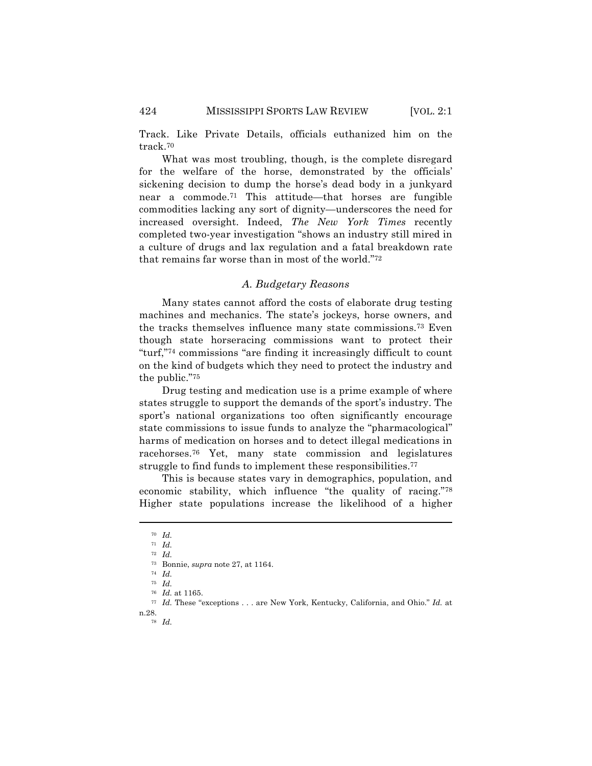Track. Like Private Details, officials euthanized him on the track.70

What was most troubling, though, is the complete disregard for the welfare of the horse, demonstrated by the officials' sickening decision to dump the horse's dead body in a junkyard near a commode.71 This attitude—that horses are fungible commodities lacking any sort of dignity—underscores the need for increased oversight. Indeed, *The New York Times* recently completed two-year investigation "shows an industry still mired in a culture of drugs and lax regulation and a fatal breakdown rate that remains far worse than in most of the world."72

## *A. Budgetary Reasons*

Many states cannot afford the costs of elaborate drug testing machines and mechanics. The state's jockeys, horse owners, and the tracks themselves influence many state commissions.73 Even though state horseracing commissions want to protect their "turf,"74 commissions "are finding it increasingly difficult to count on the kind of budgets which they need to protect the industry and the public."75

Drug testing and medication use is a prime example of where states struggle to support the demands of the sport's industry. The sport's national organizations too often significantly encourage state commissions to issue funds to analyze the "pharmacological" harms of medication on horses and to detect illegal medications in racehorses.76 Yet, many state commission and legislatures struggle to find funds to implement these responsibilities.<sup>77</sup>

This is because states vary in demographics, population, and economic stability, which influence "the quality of racing."78 Higher state populations increase the likelihood of a higher

<sup>70</sup> *Id.*

<sup>71</sup> *Id.*

<sup>72</sup> *Id.*

<sup>73</sup> Bonnie, *supra* note 27, at 1164.

<sup>74</sup> *Id.*

<sup>75</sup> *Id.*

<sup>76</sup> *Id.* at 1165.

<sup>77</sup> *Id.* These "exceptions . . . are New York, Kentucky, California, and Ohio." *Id.* at n.28. 78 *Id.*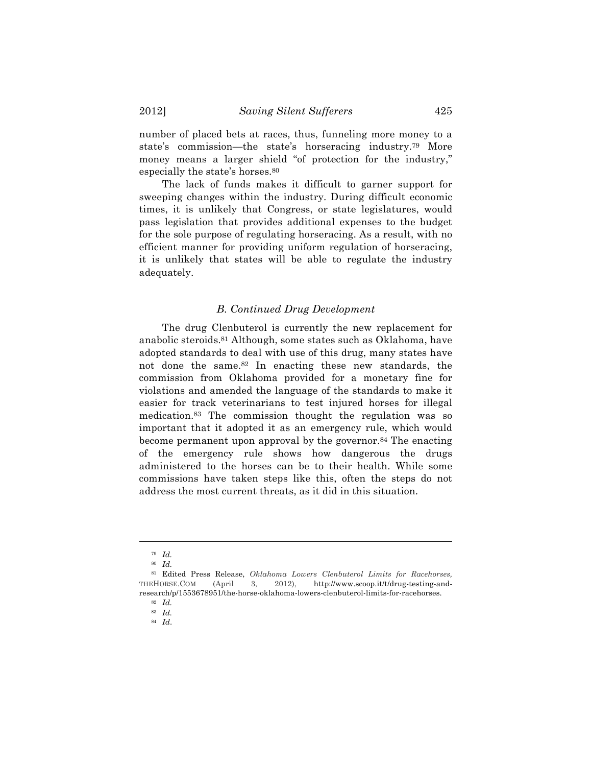number of placed bets at races, thus, funneling more money to a state's commission—the state's horseracing industry.79 More money means a larger shield "of protection for the industry," especially the state's horses.80

The lack of funds makes it difficult to garner support for sweeping changes within the industry. During difficult economic times, it is unlikely that Congress, or state legislatures, would pass legislation that provides additional expenses to the budget for the sole purpose of regulating horseracing. As a result, with no efficient manner for providing uniform regulation of horseracing, it is unlikely that states will be able to regulate the industry adequately.

## *B. Continued Drug Development*

The drug Clenbuterol is currently the new replacement for anabolic steroids.81 Although, some states such as Oklahoma, have adopted standards to deal with use of this drug, many states have not done the same.82 In enacting these new standards, the commission from Oklahoma provided for a monetary fine for violations and amended the language of the standards to make it easier for track veterinarians to test injured horses for illegal medication.83 The commission thought the regulation was so important that it adopted it as an emergency rule, which would become permanent upon approval by the governor.<sup>84</sup> The enacting of the emergency rule shows how dangerous the drugs administered to the horses can be to their health. While some commissions have taken steps like this, often the steps do not address the most current threats, as it did in this situation.

<sup>79</sup> *Id.*

<sup>80</sup> *Id.*

<sup>81</sup> Edited Press Release, *Oklahoma Lowers Clenbuterol Limits for Racehorses,*  THEHORSE.COM (April 3, 2012), http://www.scoop.it/t/drug-testing-andresearch/p/1553678951/the-horse-oklahoma-lowers-clenbuterol-limits-for-racehorses.

<sup>82</sup> *Id.*

<sup>83</sup> *Id.*

<sup>84</sup> *Id*.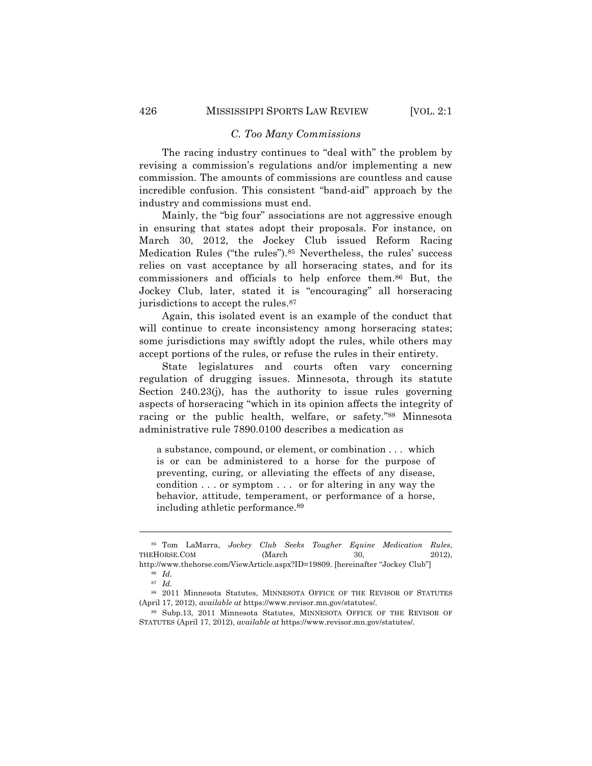## *C. Too Many Commissions*

The racing industry continues to "deal with" the problem by revising a commission's regulations and/or implementing a new commission. The amounts of commissions are countless and cause incredible confusion. This consistent "band-aid" approach by the industry and commissions must end.

Mainly, the "big four" associations are not aggressive enough in ensuring that states adopt their proposals. For instance, on March 30, 2012, the Jockey Club issued Reform Racing Medication Rules ("the rules").85 Nevertheless, the rules' success relies on vast acceptance by all horseracing states, and for its commissioners and officials to help enforce them.86 But, the Jockey Club, later, stated it is "encouraging" all horseracing jurisdictions to accept the rules.87

Again, this isolated event is an example of the conduct that will continue to create inconsistency among horseracing states; some jurisdictions may swiftly adopt the rules, while others may accept portions of the rules, or refuse the rules in their entirety.

State legislatures and courts often vary concerning regulation of drugging issues. Minnesota, through its statute Section 240.23(j), has the authority to issue rules governing aspects of horseracing "which in its opinion affects the integrity of racing or the public health, welfare, or safety."88 Minnesota administrative rule 7890.0100 describes a medication as

a substance, compound, or element, or combination . . . which is or can be administered to a horse for the purpose of preventing, curing, or alleviating the effects of any disease, condition . . . or symptom . . . or for altering in any way the behavior, attitude, temperament, or performance of a horse, including athletic performance.89

<sup>85</sup> Tom LaMarra, *Jockey Club Seeks Tougher Equine Medication Rules*, THEHORSE.COM (March 30, 2012), http://www.thehorse.com/ViewArticle.aspx?ID=19809. [hereinafter "Jockey Club"]

<sup>86</sup> *Id.*

<sup>87</sup> *Id.*

<sup>88</sup> 2011 Minnesota Statutes, MINNESOTA OFFICE OF THE REVISOR OF STATUTES (April 17, 2012), *available at* https://www.revisor.mn.gov/statutes/.

<sup>89</sup> Subp.13, 2011 Minnesota Statutes, MINNESOTA OFFICE OF THE REVISOR OF STATUTES (April 17, 2012), *available at* https://www.revisor.mn.gov/statutes/.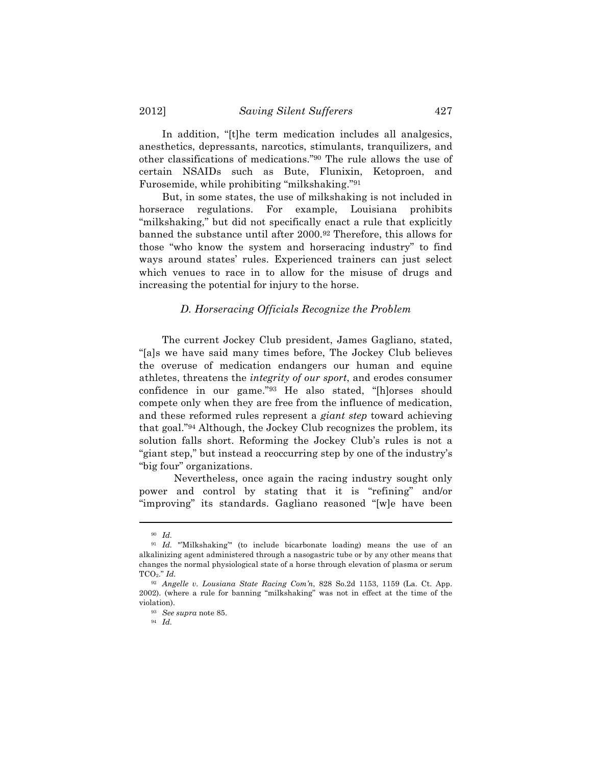In addition, "[t]he term medication includes all analgesics, anesthetics, depressants, narcotics, stimulants, tranquilizers, and other classifications of medications."90 The rule allows the use of certain NSAIDs such as Bute, Flunixin, Ketoproen, and Furosemide, while prohibiting "milkshaking."91

But, in some states, the use of milkshaking is not included in horserace regulations. For example, Louisiana prohibits "milkshaking," but did not specifically enact a rule that explicitly banned the substance until after 2000.92 Therefore, this allows for those "who know the system and horseracing industry" to find ways around states' rules. Experienced trainers can just select which venues to race in to allow for the misuse of drugs and increasing the potential for injury to the horse.

## *D. Horseracing Officials Recognize the Problem*

The current Jockey Club president, James Gagliano, stated, "[a]s we have said many times before, The Jockey Club believes the overuse of medication endangers our human and equine athletes, threatens the *integrity of our sport*, and erodes consumer confidence in our game."93 He also stated, "[h]orses should compete only when they are free from the influence of medication, and these reformed rules represent a *giant step* toward achieving that goal."94 Although, the Jockey Club recognizes the problem, its solution falls short. Reforming the Jockey Club's rules is not a "giant step," but instead a reoccurring step by one of the industry's "big four" organizations.

Nevertheless, once again the racing industry sought only power and control by stating that it is "refining" and/or "improving" its standards. Gagliano reasoned "[w]e have been

<sup>90</sup> *Id.*

<sup>91</sup> *Id.* "'Milkshaking'" (to include bicarbonate loading) means the use of an alkalinizing agent administered through a nasogastric tube or by any other means that changes the normal physiological state of a horse through elevation of plasma or serum TCO2." *Id.*

<sup>92</sup> *Angelle v. Lousiana State Racing Com'n*, 828 So.2d 1153, 1159 (La. Ct. App. 2002). (where a rule for banning "milkshaking" was not in effect at the time of the violation).

<sup>93</sup> *See supra* note 85.

<sup>94</sup> *Id.*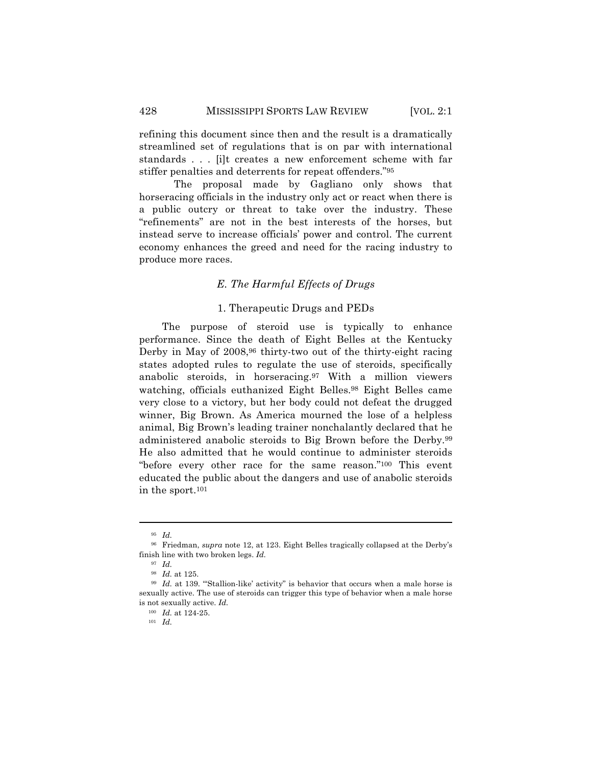refining this document since then and the result is a dramatically streamlined set of regulations that is on par with international standards . . . [i]t creates a new enforcement scheme with far stiffer penalties and deterrents for repeat offenders."95

The proposal made by Gagliano only shows that horseracing officials in the industry only act or react when there is a public outcry or threat to take over the industry. These "refinements" are not in the best interests of the horses, but instead serve to increase officials' power and control. The current economy enhances the greed and need for the racing industry to produce more races.

## *E. The Harmful Effects of Drugs*

## 1. Therapeutic Drugs and PEDs

The purpose of steroid use is typically to enhance performance. Since the death of Eight Belles at the Kentucky Derby in May of 2008,<sup>96</sup> thirty-two out of the thirty-eight racing states adopted rules to regulate the use of steroids, specifically anabolic steroids, in horseracing.97 With a million viewers watching, officials euthanized Eight Belles.98 Eight Belles came very close to a victory, but her body could not defeat the drugged winner, Big Brown. As America mourned the lose of a helpless animal, Big Brown's leading trainer nonchalantly declared that he administered anabolic steroids to Big Brown before the Derby.99 He also admitted that he would continue to administer steroids "before every other race for the same reason."100 This event educated the public about the dangers and use of anabolic steroids in the sport.101

<sup>95</sup> *Id.*

<sup>96</sup> Friedman, *supra* note 12, at 123. Eight Belles tragically collapsed at the Derby's finish line with two broken legs. *Id.*

<sup>97</sup> *Id.*

<sup>98</sup> *Id.* at 125.

<sup>99</sup> *Id.* at 139. "'Stallion-like' activity" is behavior that occurs when a male horse is sexually active. The use of steroids can trigger this type of behavior when a male horse is not sexually active. *Id.*

<sup>100</sup> *Id.* at 124-25.

<sup>101</sup> *Id.*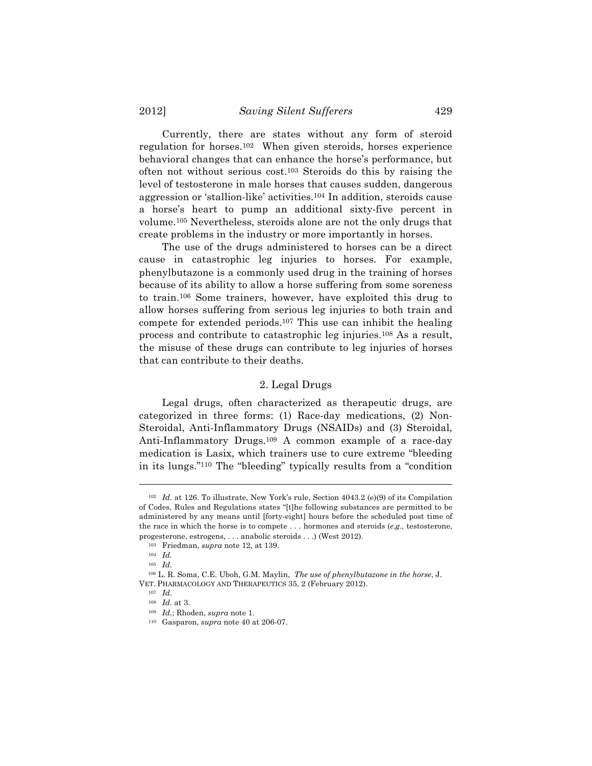Currently, there are states without any form of steroid regulation for horses.102 When given steroids, horses experience behavioral changes that can enhance the horse's performance, but often not without serious cost.103 Steroids do this by raising the level of testosterone in male horses that causes sudden, dangerous aggression or 'stallion-like' activities.104 In addition, steroids cause a horse's heart to pump an additional sixty-five percent in volume.105 Nevertheless, steroids alone are not the only drugs that create problems in the industry or more importantly in horses.

The use of the drugs administered to horses can be a direct cause in catastrophic leg injuries to horses. For example, phenylbutazone is a commonly used drug in the training of horses because of its ability to allow a horse suffering from some soreness to train.106 Some trainers, however, have exploited this drug to allow horses suffering from serious leg injuries to both train and compete for extended periods.107 This use can inhibit the healing process and contribute to catastrophic leg injuries.108 As a result, the misuse of these drugs can contribute to leg injuries of horses that can contribute to their deaths.

## 2. Legal Drugs

Legal drugs, often characterized as therapeutic drugs, are categorized in three forms: (1) Race-day medications, (2) Non-Steroidal, Anti-Inflammatory Drugs (NSAIDs) and (3) Steroidal, Anti-Inflammatory Drugs.109 A common example of a race-day medication is Lasix, which trainers use to cure extreme "bleeding in its lungs."110 The "bleeding" typically results from a "condition

<sup>102</sup> *Id.* at 126. To illustrate, New York's rule, Section 4043.2 (e)(9) of its Compilation of Codes, Rules and Regulations states "[t]he following substances are permitted to be administered by any means until [forty-eight] hours before the scheduled post time of the race in which the horse is to compete . . . hormones and steroids (*e.g.,* testosterone, progesterone, estrogens, . . . anabolic steroids . . .) (West 2012).

<sup>103</sup> Friedman, *supra* note 12, at 139.

<sup>104</sup> *Id.*

<sup>105</sup> *Id.*

<sup>106</sup> L. R. Soma, C.E. Uboh, G.M. Maylin, *The use of phenylbutazone in the horse*, J. VET. PHARMACOLOGY AND THERAPEUTICS 35, 2 (February 2012). 107 *Id*.

<sup>108</sup> *Id*. at 3.

<sup>109</sup> *Id.*; Rhoden, *supra* note 1.

<sup>110</sup> Gasparon, *supra* note 40 at 206-07.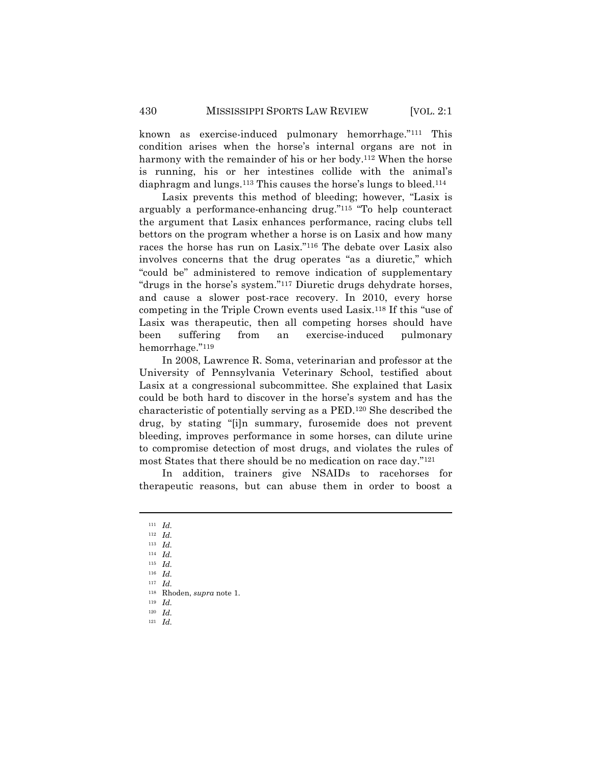known as exercise-induced pulmonary hemorrhage."111 This condition arises when the horse's internal organs are not in harmony with the remainder of his or her body.<sup>112</sup> When the horse is running, his or her intestines collide with the animal's diaphragm and lungs.113 This causes the horse's lungs to bleed.114

Lasix prevents this method of bleeding; however, "Lasix is arguably a performance-enhancing drug."115 "To help counteract the argument that Lasix enhances performance, racing clubs tell bettors on the program whether a horse is on Lasix and how many races the horse has run on Lasix."116 The debate over Lasix also involves concerns that the drug operates "as a diuretic," which "could be" administered to remove indication of supplementary "drugs in the horse's system."117 Diuretic drugs dehydrate horses, and cause a slower post-race recovery. In 2010, every horse competing in the Triple Crown events used Lasix.118 If this "use of Lasix was therapeutic, then all competing horses should have been suffering from an exercise-induced pulmonary hemorrhage."119

In 2008, Lawrence R. Soma, veterinarian and professor at the University of Pennsylvania Veterinary School, testified about Lasix at a congressional subcommittee. She explained that Lasix could be both hard to discover in the horse's system and has the characteristic of potentially serving as a PED.120 She described the drug, by stating "[i]n summary, furosemide does not prevent bleeding, improves performance in some horses, can dilute urine to compromise detection of most drugs, and violates the rules of most States that there should be no medication on race day."121

In addition, trainers give NSAIDs to racehorses for therapeutic reasons, but can abuse them in order to boost a

<sup>111</sup> *Id.*

<sup>112</sup> *Id.* <sup>113</sup> *Id.*

<sup>114</sup> *Id.*

<sup>115</sup> *Id.*

<sup>116</sup> *Id.*

<sup>117</sup> *Id.*

<sup>118</sup> Rhoden, *supra* note 1.

<sup>119</sup> *Id.*

<sup>120</sup> *Id.*

<sup>121</sup> *Id.*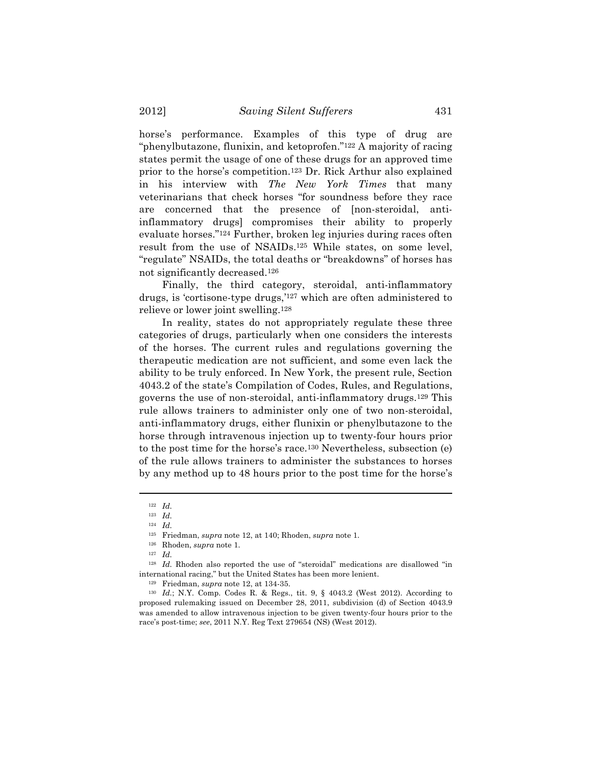horse's performance. Examples of this type of drug are "phenylbutazone, flunixin, and ketoprofen."122 A majority of racing states permit the usage of one of these drugs for an approved time prior to the horse's competition.123 Dr. Rick Arthur also explained in his interview with *The New York Times* that many veterinarians that check horses "for soundness before they race are concerned that the presence of [non-steroidal, antiinflammatory drugs] compromises their ability to properly evaluate horses."124 Further, broken leg injuries during races often result from the use of NSAIDs.125 While states, on some level, "regulate" NSAIDs, the total deaths or "breakdowns" of horses has not significantly decreased.126

Finally, the third category, steroidal, anti-inflammatory drugs, is 'cortisone-type drugs,'127 which are often administered to relieve or lower joint swelling.128

In reality, states do not appropriately regulate these three categories of drugs, particularly when one considers the interests of the horses. The current rules and regulations governing the therapeutic medication are not sufficient, and some even lack the ability to be truly enforced. In New York, the present rule, Section 4043.2 of the state's Compilation of Codes, Rules, and Regulations, governs the use of non-steroidal, anti-inflammatory drugs.129 This rule allows trainers to administer only one of two non-steroidal, anti-inflammatory drugs, either flunixin or phenylbutazone to the horse through intravenous injection up to twenty-four hours prior to the post time for the horse's race.130 Nevertheless, subsection (e) of the rule allows trainers to administer the substances to horses by any method up to 48 hours prior to the post time for the horse's

<sup>122</sup> *Id.*

<sup>123</sup> *Id.*

<sup>124</sup> *Id.*

<sup>125</sup> Friedman, *supra* note 12, at 140; Rhoden, *supra* note 1.

<sup>126</sup> Rhoden, *supra* note 1.

<sup>127</sup> *Id.*

<sup>&</sup>lt;sup>128</sup> *Id.* Rhoden also reported the use of "steroidal" medications are disallowed "in international racing," but the United States has been more lenient.

<sup>129</sup> Friedman, *supra* note 12, at 134-35.

<sup>130</sup> *Id.*; N.Y. Comp. Codes R. & Regs., tit. 9, § 4043.2 (West 2012). According to proposed rulemaking issued on December 28, 2011, subdivision (d) of Section 4043.9 was amended to allow intravenous injection to be given twenty-four hours prior to the race's post-time; *see*, 2011 N.Y. Reg Text 279654 (NS) (West 2012).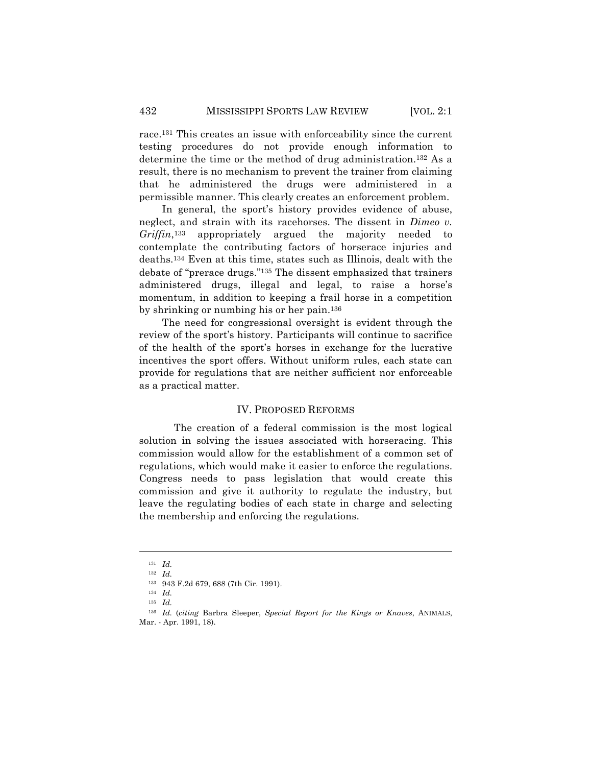race.131 This creates an issue with enforceability since the current testing procedures do not provide enough information to determine the time or the method of drug administration.132 As a result, there is no mechanism to prevent the trainer from claiming that he administered the drugs were administered in a permissible manner. This clearly creates an enforcement problem.

In general, the sport's history provides evidence of abuse, neglect, and strain with its racehorses. The dissent in *Dimeo v. Griffin*,133 appropriately argued the majority needed to contemplate the contributing factors of horserace injuries and deaths.134 Even at this time, states such as Illinois, dealt with the debate of "prerace drugs."135 The dissent emphasized that trainers administered drugs, illegal and legal, to raise a horse's momentum, in addition to keeping a frail horse in a competition by shrinking or numbing his or her pain.136

The need for congressional oversight is evident through the review of the sport's history. Participants will continue to sacrifice of the health of the sport's horses in exchange for the lucrative incentives the sport offers. Without uniform rules, each state can provide for regulations that are neither sufficient nor enforceable as a practical matter.

## IV. PROPOSED REFORMS

The creation of a federal commission is the most logical solution in solving the issues associated with horseracing. This commission would allow for the establishment of a common set of regulations, which would make it easier to enforce the regulations. Congress needs to pass legislation that would create this commission and give it authority to regulate the industry, but leave the regulating bodies of each state in charge and selecting the membership and enforcing the regulations.

<sup>131</sup> *Id.*

<sup>132</sup> *Id.*

<sup>133</sup> 943 F.2d 679, 688 (7th Cir. 1991).

<sup>134</sup> *Id.*

<sup>135</sup> *Id.*

<sup>136</sup> *Id.* (*citing* Barbra Sleeper, *Special Report for the Kings or Knaves*, ANIMALS, Mar. - Apr. 1991, 18).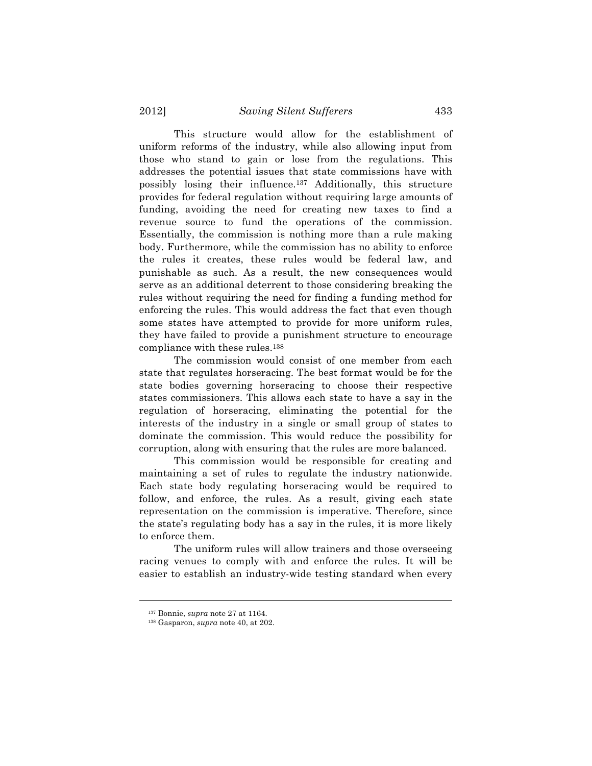This structure would allow for the establishment of uniform reforms of the industry, while also allowing input from those who stand to gain or lose from the regulations. This addresses the potential issues that state commissions have with possibly losing their influence.137 Additionally, this structure provides for federal regulation without requiring large amounts of funding, avoiding the need for creating new taxes to find a revenue source to fund the operations of the commission. Essentially, the commission is nothing more than a rule making body. Furthermore, while the commission has no ability to enforce the rules it creates, these rules would be federal law, and punishable as such. As a result, the new consequences would serve as an additional deterrent to those considering breaking the rules without requiring the need for finding a funding method for enforcing the rules. This would address the fact that even though some states have attempted to provide for more uniform rules, they have failed to provide a punishment structure to encourage compliance with these rules.138

The commission would consist of one member from each state that regulates horseracing. The best format would be for the state bodies governing horseracing to choose their respective states commissioners. This allows each state to have a say in the regulation of horseracing, eliminating the potential for the interests of the industry in a single or small group of states to dominate the commission. This would reduce the possibility for corruption, along with ensuring that the rules are more balanced.

This commission would be responsible for creating and maintaining a set of rules to regulate the industry nationwide. Each state body regulating horseracing would be required to follow, and enforce, the rules. As a result, giving each state representation on the commission is imperative. Therefore, since the state's regulating body has a say in the rules, it is more likely to enforce them.

The uniform rules will allow trainers and those overseeing racing venues to comply with and enforce the rules. It will be easier to establish an industry-wide testing standard when every

<sup>137</sup> Bonnie, *supra* note 27 at 1164. 138 Gasparon, *supra* note 40, at 202.